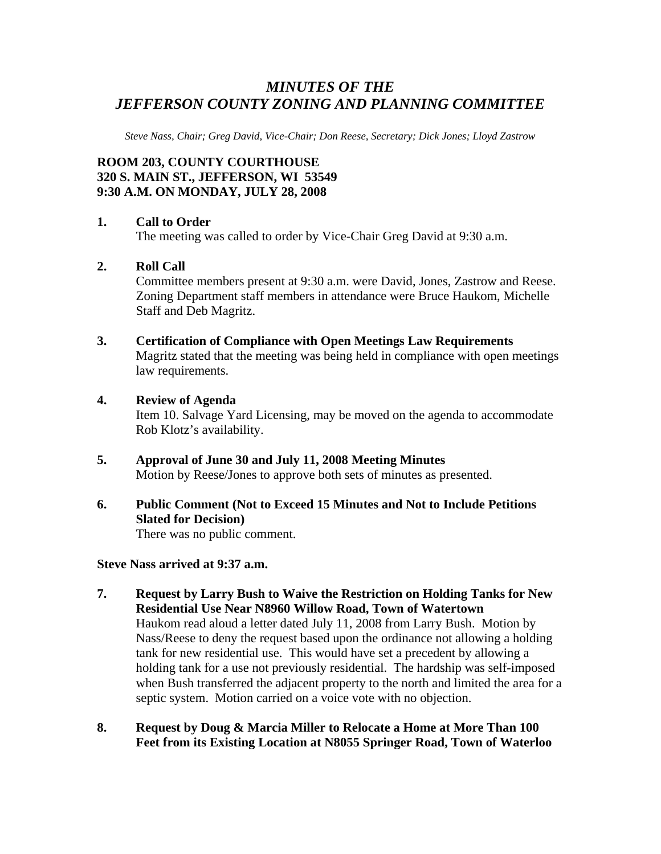# *MINUTES OF THE JEFFERSON COUNTY ZONING AND PLANNING COMMITTEE*

*Steve Nass, Chair; Greg David, Vice-Chair; Don Reese, Secretary; Dick Jones; Lloyd Zastrow* 

# **ROOM 203, COUNTY COURTHOUSE 320 S. MAIN ST., JEFFERSON, WI 53549 9:30 A.M. ON MONDAY, JULY 28, 2008**

#### **1. Call to Order**

The meeting was called to order by Vice-Chair Greg David at 9:30 a.m.

#### **2. Roll Call**

Committee members present at 9:30 a.m. were David, Jones, Zastrow and Reese. Zoning Department staff members in attendance were Bruce Haukom, Michelle Staff and Deb Magritz.

#### **3. Certification of Compliance with Open Meetings Law Requirements**  Magritz stated that the meeting was being held in compliance with open meetings law requirements.

#### **4. Review of Agenda**

Item 10. Salvage Yard Licensing, may be moved on the agenda to accommodate Rob Klotz's availability.

- **5. Approval of June 30 and July 11, 2008 Meeting Minutes**  Motion by Reese/Jones to approve both sets of minutes as presented.
- **6. Public Comment (Not to Exceed 15 Minutes and Not to Include Petitions Slated for Decision)**

There was no public comment.

#### **Steve Nass arrived at 9:37 a.m.**

- **7. Request by Larry Bush to Waive the Restriction on Holding Tanks for New Residential Use Near N8960 Willow Road, Town of Watertown**  Haukom read aloud a letter dated July 11, 2008 from Larry Bush. Motion by Nass/Reese to deny the request based upon the ordinance not allowing a holding tank for new residential use. This would have set a precedent by allowing a holding tank for a use not previously residential. The hardship was self-imposed when Bush transferred the adjacent property to the north and limited the area for a septic system. Motion carried on a voice vote with no objection.
- **8. Request by Doug & Marcia Miller to Relocate a Home at More Than 100 Feet from its Existing Location at N8055 Springer Road, Town of Waterloo**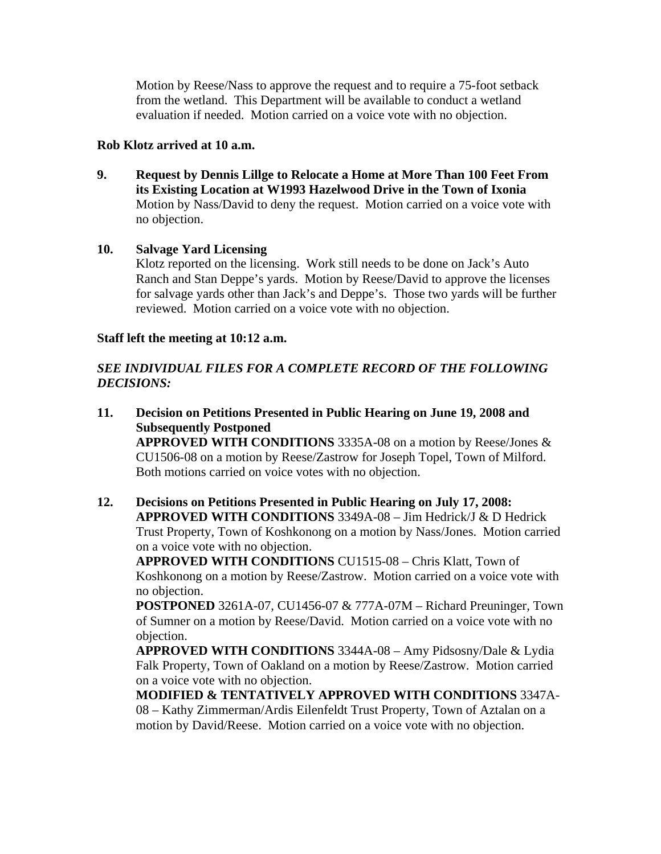Motion by Reese/Nass to approve the request and to require a 75-foot setback from the wetland. This Department will be available to conduct a wetland evaluation if needed. Motion carried on a voice vote with no objection.

### **Rob Klotz arrived at 10 a.m.**

**9. Request by Dennis Lillge to Relocate a Home at More Than 100 Feet From its Existing Location at W1993 Hazelwood Drive in the Town of Ixonia**  Motion by Nass/David to deny the request. Motion carried on a voice vote with no objection.

## **10. Salvage Yard Licensing**

Klotz reported on the licensing. Work still needs to be done on Jack's Auto Ranch and Stan Deppe's yards. Motion by Reese/David to approve the licenses for salvage yards other than Jack's and Deppe's. Those two yards will be further reviewed. Motion carried on a voice vote with no objection.

## **Staff left the meeting at 10:12 a.m.**

# *SEE INDIVIDUAL FILES FOR A COMPLETE RECORD OF THE FOLLOWING DECISIONS:*

- **11. Decision on Petitions Presented in Public Hearing on June 19, 2008 and Subsequently Postponed APPROVED WITH CONDITIONS** 3335A-08 on a motion by Reese/Jones & CU1506-08 on a motion by Reese/Zastrow for Joseph Topel, Town of Milford. Both motions carried on voice votes with no objection.
- **12. Decisions on Petitions Presented in Public Hearing on July 17, 2008: APPROVED WITH CONDITIONS** 3349A-08 – Jim Hedrick/J & D Hedrick Trust Property, Town of Koshkonong on a motion by Nass/Jones. Motion carried on a voice vote with no objection.

**APPROVED WITH CONDITIONS** CU1515-08 – Chris Klatt, Town of Koshkonong on a motion by Reese/Zastrow. Motion carried on a voice vote with no objection.

**POSTPONED** 3261A-07, CU1456-07 & 777A-07M – Richard Preuninger, Town of Sumner on a motion by Reese/David. Motion carried on a voice vote with no objection.

**APPROVED WITH CONDITIONS** 3344A-08 – Amy Pidsosny/Dale & Lydia Falk Property, Town of Oakland on a motion by Reese/Zastrow. Motion carried on a voice vote with no objection.

**MODIFIED & TENTATIVELY APPROVED WITH CONDITIONS** 3347A-08 – Kathy Zimmerman/Ardis Eilenfeldt Trust Property, Town of Aztalan on a motion by David/Reese. Motion carried on a voice vote with no objection.